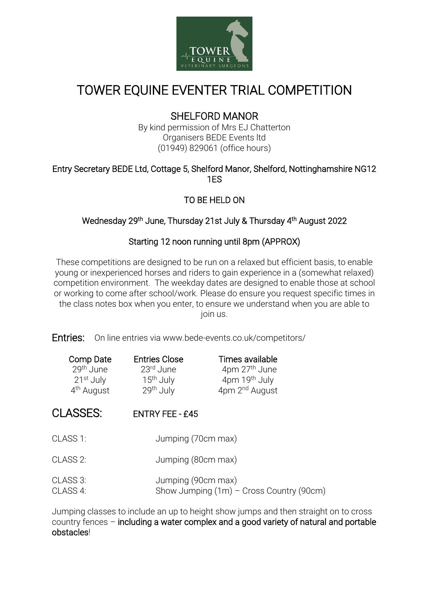

# TOWER EQUINE EVENTER TRIAL COMPETITION

## SHELFORD MANOR

By kind permission of Mrs EJ Chatterton Organisers BEDE Events ltd (01949) 829061 (office hours)

#### Entry Secretary BEDE Ltd, Cottage 5, Shelford Manor, Shelford, Nottinghamshire NG12 1ES

## TO BE HELD ON

#### Wednesday 29<sup>th</sup> June, Thursday 21st July & Thursday 4<sup>th</sup> August 2022

## Starting 12 noon running until 8pm (APPROX)

These competitions are designed to be run on a relaxed but efficient basis, to enable young or inexperienced horses and riders to gain experience in a (somewhat relaxed) competition environment. The weekday dates are designed to enable those at school or working to come after school/work. Please do ensure you request specific times in the class notes box when you enter, to ensure we understand when you are able to join us.

Entries: On line entries via www.bede-events.co.uk/competitors/

| Comp Date              | <b>Entries Close</b>  | Times available            |
|------------------------|-----------------------|----------------------------|
| 29 <sup>th</sup> June  | 23 <sup>rd</sup> June | 4pm 27 <sup>th</sup> June  |
| 21 <sup>st</sup> July  | 15 <sup>th</sup> July | 4pm 19 <sup>th</sup> July  |
| 4 <sup>th</sup> August | 29th July             | 4pm 2 <sup>nd</sup> August |

## CLASSES: ENTRY FEE - £45

- CLASS 1: Jumping (70cm max)
- CLASS 2: Jumping (80cm max)
- CLASS 3: Jumping (90cm max) CLASS 4: Show Jumping (1m) – Cross Country (90cm)

Jumping classes to include an up to height show jumps and then straight on to cross country fences – including a water complex and a good variety of natural and portable obstacles!